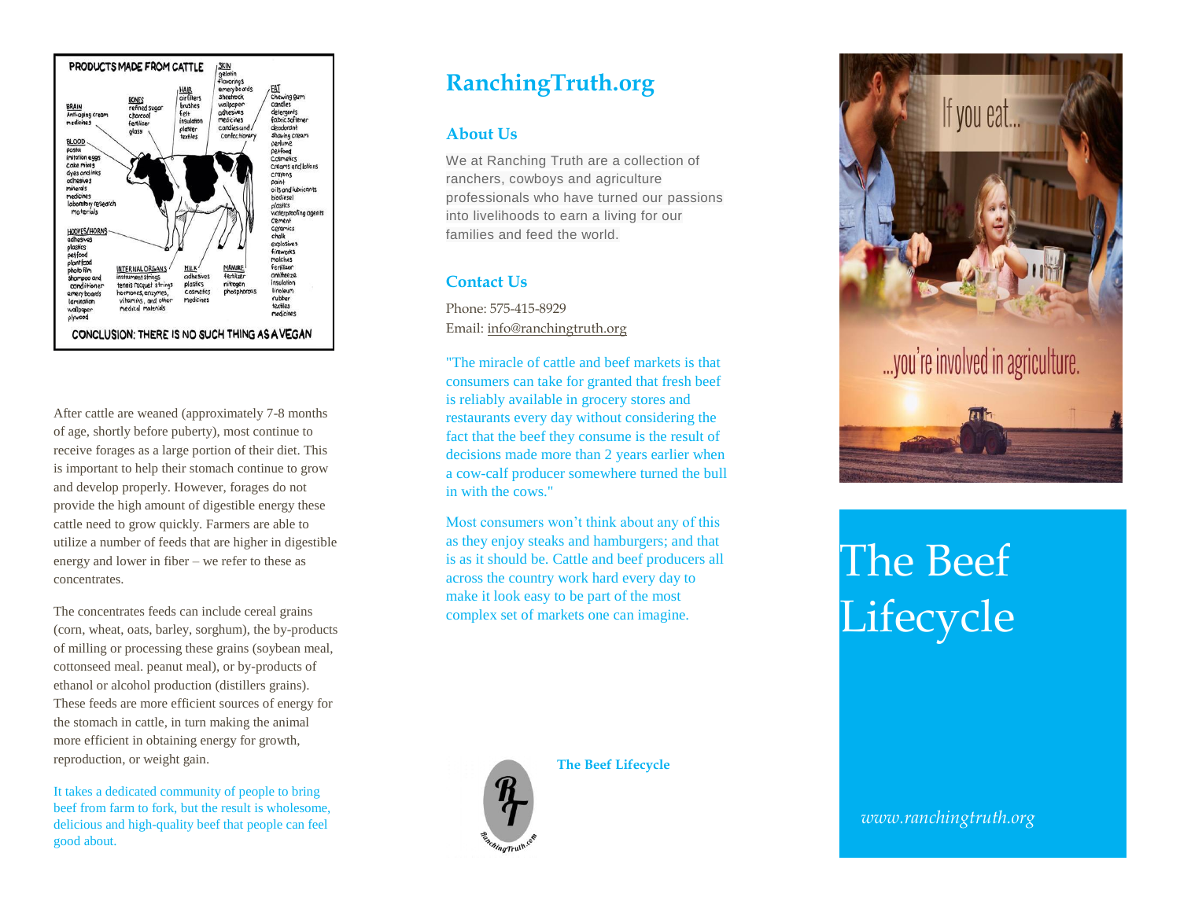

After cattle are weaned (approximately 7-8 months of age, shortly before puberty), most continue to receive forages as a large portion of their diet. This is important to help their stomach continue to grow and develop properly. However, forages do not provide the high amount of digestible energy these cattle need to grow quickly. Farmers are able to utilize a number of feeds that are higher in digestible energy and lower in fiber – we refer to these as concentrates.

The concentrates feeds can include cereal grains (corn, wheat, oats, barley, sorghum), the by-products of milling or processing these grains (soybean meal, cottonseed meal. peanut meal), or by-products of ethanol or alcohol production (distillers grains). These feeds are more efficient sources of energy for the stomach in cattle, in turn making the animal more efficient in obtaining energy for growth, reproduction, or weight gain.

It takes a dedicated community of people to bring beef from farm to fork, but the result is wholesome, delicious and high-quality beef that people can feel good about.

## **RanchingTruth.org**

## **About Us**

We at Ranching Truth are a collection of ranchers, cowboys and agriculture professionals who have turned our passions into livelihoods to earn a living for our families and feed the world.

## **Contact Us**

Phone: 575-415-8929 Email: [info@ranchingtruth.org](mailto:info@ranchingtruth.org)

"The miracle of cattle and beef markets is that consumers can take for granted that fresh beef is reliably available in grocery stores and restaurants every day without considering the fact that the beef they consume is the result of decisions made more than 2 years earlier when a cow-calf producer somewhere turned the bull in with the cows."

Most consumers won't think about any of this as they enjoy steaks and hamburgers; and that is as it should be. Cattle and beef producers all across the country work hard every day to make it look easy to be part of the most complex set of markets one can imagine.

**The Beef Lifecycle**



If you eat... ...you're involved in agriculture.

## The Beef **Lifecycle**

*www.ranchingtruth.org*